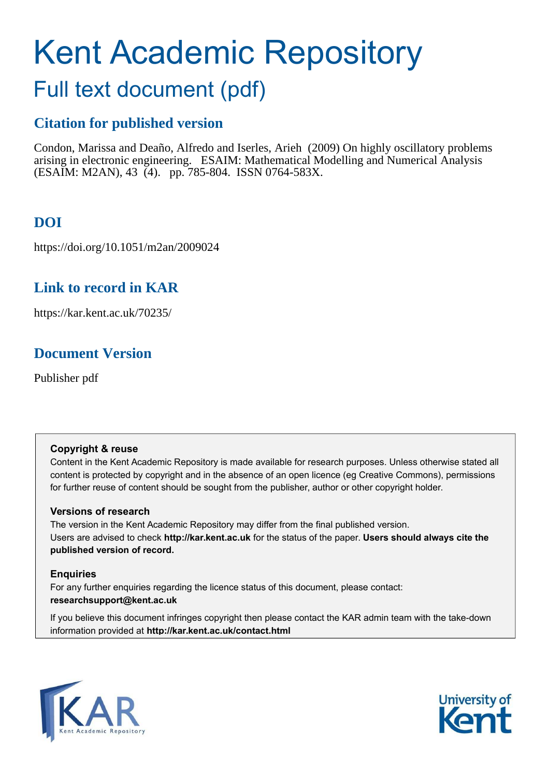# Kent Academic Repository

# Full text document (pdf)

# **Citation for published version**

Condon, Marissa and Deaño, Alfredo and Iserles, Arieh (2009) On highly oscillatory problems arising in electronic engineering. ESAIM: Mathematical Modelling and Numerical Analysis (ESAIM: M2AN), 43 (4). pp. 785-804. ISSN 0764-583X.

# **DOI**

https://doi.org/10.1051/m2an/2009024

# **Link to record in KAR**

<span id="page-0-0"></span>https://kar.kent.ac.uk/70235/

# **Document Version**

Publisher pdf

## **Copyright & reuse**

Content in the Kent Academic Repository is made available for research purposes. Unless otherwise stated all content is protected by copyright and in the absence of an open licence (eg Creative Commons), permissions for further reuse of content should be sought from the publisher, author or other copyright holder.

## **Versions of research**

The version in the Kent Academic Repository may differ from the final published version. Users are advised to check **http://kar.kent.ac.uk** for the status of the paper. **Users should always cite the published version of record.**

## **Enquiries**

For any further enquiries regarding the licence status of this document, please contact: **researchsupport@kent.ac.uk**

If you believe this document infringes copyright then please contact the KAR admin team with the take-down information provided at **http://kar.kent.ac.uk/contact.html**



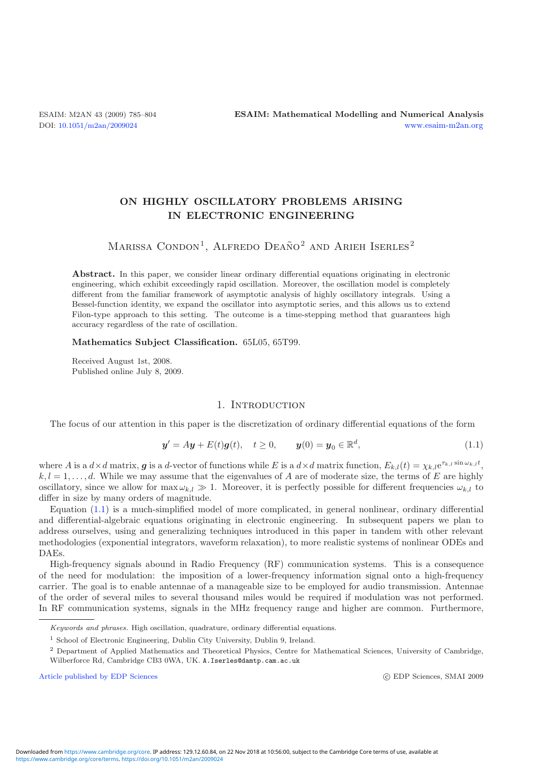## ON HIGHLY OSCILLATORY PROBLEMS ARISING IN ELECTRONIC ENGINEERING

### <span id="page-1-0"></span>MARISSA CONDON<sup>1</sup>, ALFREDO DEAÑO<sup>2</sup> AND ARIEH ISERLES<sup>2</sup>

Abstract. In this paper, we consider linear ordinary differential equations originating in electronic engineering, which exhibit exceedingly rapid oscillation. Moreover, the oscillation model is completely different from the familiar framework of asymptotic analysis of highly oscillatory integrals. Using a Bessel-function identity, we expand the oscillator into asymptotic series, and this allows us to extend Filon-type approach to this setting. The outcome is a time-stepping method that guarantees high accuracy regardless of the rate of oscillation.

#### Mathematics Subject Classification. 65L05, 65T99.

<span id="page-1-1"></span>Received August 1st, 2008. Published online July 8, 2009.

#### 1. INTRODUCTION

The focus of our attention in this paper is the discretization of ordinary differential equations of the form

$$
y' = Ay + E(t)g(t), \quad t \ge 0, \qquad y(0) = y_0 \in \mathbb{R}^d,
$$
\n(1.1)

where A is a  $d \times d$  matrix, g is a d-vector of functions while E is a  $d \times d$  matrix function,  $E_{k,l}(t) = \chi_{k,l} e^{\tau_{k,l} \sin \omega_{k,l} t}$ ,  $k, l = 1, \ldots, d$ . While we may assume that the eigenvalues of A are of moderate size, the terms of E are highly oscillatory, since we allow for  $\max \omega_{k,l} \gg 1$ . Moreover, it is perfectly possible for different frequencies  $\omega_{k,l}$  to differ in size by many orders of magnitude.

Equation [\(1.1\)](#page-0-0) is a much-simplified model of more complicated, in general nonlinear, ordinary differential and differential-algebraic equations originating in electronic engineering. In subsequent papers we plan to address ourselves, using and generalizing techniques introduced in this paper in tandem with other relevant methodologies (exponential integrators, waveform relaxation), to more realistic systems of nonlinear ODEs and DAEs.

High-frequency signals abound in Radio Frequency (RF) communication systems. This is a consequence of the need for modulation: the imposition of a lower-frequency information signal onto a high-frequency carrier. The goal is to enable antennae of a manageable size to be employed for audio transmission. Antennae of the order of several miles to several thousand miles would be required if modulation was not performed. In RF communication systems, signals in the MHz frequency range and higher are common. Furthermore,

[Article published by EDP Sciences](http://www.edpsciences.org)

c EDP Sciences, SMAI 2009

*Keywords and phrases.* High oscillation, quadrature, ordinary differential equations.

<sup>&</sup>lt;sup>1</sup> School of Electronic Engineering, Dublin City University, Dublin 9, Ireland.

<sup>2</sup> Department of Applied Mathematics and Theoretical Physics, Centre for Mathematical Sciences, University of Cambridge, Wilberforce Rd, Cambridge CB3 0WA, UK. A.Iserles@damtp.cam.ac.uk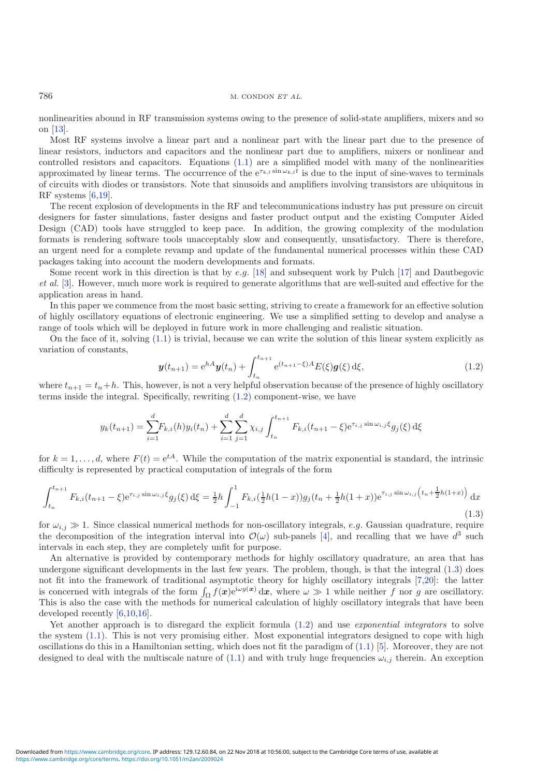nonlinearities abound in RF transmission systems owing to the presence of solid-state amplifiers, mixers and so on [\[13\]](#page-19-0).

Most RF systems involve a linear part and a nonlinear part with the linear part due to the presence of linear resistors, inductors and capacitors and the nonlinear part due to amplifiers, mixers or nonlinear and controlled resistors and capacitors. Equations [\(1.1\)](#page-0-0) are a simplified model with many of the nonlinearities approximated by linear terms. The occurrence of the  $e^{\tau_{k,l} \sin \omega_{k,l} t}$  is due to the input of sine-waves to terminals of circuits with diodes or transistors. Note that sinusoids and amplifiers involving transistors are ubiquitous in RF systems [\[6](#page-19-1)[,19\]](#page-19-2).

The recent explosion of developments in the RF and telecommunications industry has put pressure on circuit designers for faster simulations, faster designs and faster product output and the existing Computer Aided Design (CAD) tools have struggled to keep pace. In addition, the growing complexity of the modulation formats is rendering software tools unacceptably slow and consequently, unsatisfactory. There is therefore, an urgent need for a complete revamp and update of the fundamental numerical processes within these CAD packages taking into account the modern developments and formats.

<span id="page-2-2"></span><span id="page-2-1"></span>Some recent work in this direction is that by e.g.  $[18]$  and subsequent work by Pulch  $[17]$  and Dautbegovic et al. [\[3\]](#page-18-0). However, much more work is required to generate algorithms that are well-suited and effective for the application areas in hand.

In this paper we commence from the most basic setting, striving to create a framework for an effective solution of highly oscillatory equations of electronic engineering. We use a simplified setting to develop and analyse a range of tools which will be deployed in future work in more challenging and realistic situation.

On the face of it, solving [\(1.1\)](#page-0-0) is trivial, because we can write the solution of this linear system explicitly as variation of constants,

$$
\mathbf{y}(t_{n+1}) = e^{hA}\mathbf{y}(t_n) + \int_{t_n}^{t_{n+1}} e^{(t_{n+1}-\xi)A} E(\xi) \mathbf{g}(\xi) d\xi,
$$
\n(1.2)

where  $t_{n+1} = t_n + h$ . This, however, is not a very helpful observation because of the presence of highly oscillatory terms inside the integral. Specifically, rewriting [\(1.2\)](#page-1-0) component-wise, we have

<span id="page-2-0"></span>
$$
y_k(t_{n+1}) = \sum_{i=1}^d F_{k,i}(h)y_i(t_n) + \sum_{i=1}^d \sum_{j=1}^d \chi_{i,j} \int_{t_n}^{t_{n+1}} F_{k,i}(t_{n+1} - \xi) e^{\tau_{i,j} \sin \omega_{i,j} \xi} g_j(\xi) d\xi
$$

for  $k = 1, \ldots, d$ , where  $F(t) = e^{tA}$ . While the computation of the matrix exponential is standard, the intrinsic difficulty is represented by practical computation of integrals of the form

$$
\int_{t_n}^{t_{n+1}} F_{k,i}(t_{n+1} - \xi) e^{\tau_{i,j} \sin \omega_{i,j} \xi} g_j(\xi) d\xi = \frac{1}{2} h \int_{-1}^1 F_{k,i}(\frac{1}{2}h(1-x)) g_j(t_n + \frac{1}{2}h(1+x)) e^{\tau_{i,j} \sin \omega_{i,j} \left(t_n + \frac{1}{2}h(1+x)\right)} dx
$$
\n(1.3)

for  $\omega_{i,j} \gg 1$ . Since classical numerical methods for non-oscillatory integrals, e.g. Gaussian quadrature, require the decomposition of the integration interval into  $\mathcal{O}(\omega)$  sub-panels [\[4\]](#page-18-1), and recalling that we have  $d^3$  such intervals in each step, they are completely unfit for purpose.

An alternative is provided by contemporary methods for highly oscillatory quadrature, an area that has undergone significant developments in the last few years. The problem, though, is that the integral [\(1.3\)](#page-1-1) does not fit into the framework of traditional asymptotic theory for highly oscillatory integrals [\[7](#page-19-5)[,20\]](#page-19-6): the latter is concerned with integrals of the form  $\int_{\Omega} f(x)e^{i\omega g(x)} dx$ , where  $\omega \gg 1$  while neither f nor g are oscillatory. This is also the case with the methods for numerical calculation of highly oscillatory integrals that have been developed recently [\[6](#page-19-1)[,10](#page-19-7)[,16](#page-19-8)].

Yet another approach is to disregard the explicit formula  $(1.2)$  and use *exponential integrators* to solve the system [\(1.1\)](#page-0-0). This is not very promising either. Most exponential integrators designed to cope with high oscillations do this in a Hamiltonian setting, which does not fit the paradigm of  $(1.1)$  [\[5\]](#page-18-2). Moreover, they are not designed to deal with the multiscale nature of [\(1.1\)](#page-0-0) and with truly huge frequencies  $\omega_{i,j}$  therein. An exception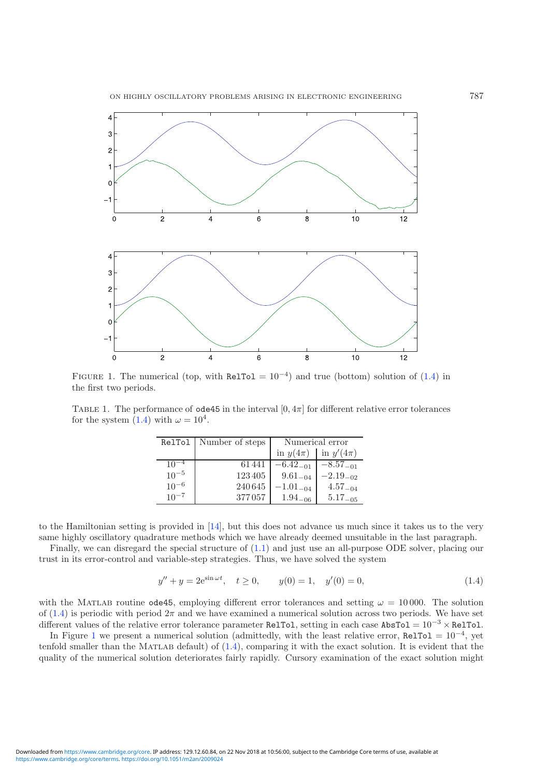<span id="page-3-0"></span>

FIGURE 1. The numerical (top, with RelTol =  $10^{-4}$ ) and true (bottom) solution of [\(1.4\)](#page-2-0) in the first two periods.

TABLE 1. The performance of  $ode45$  in the interval  $[0, 4\pi]$  for different relative error tolerances for the system [\(1.4\)](#page-2-0) with  $\omega = 10^4$ .

<span id="page-3-1"></span>

|           | RelTol   Number of steps | Numerical error |               |  |
|-----------|--------------------------|-----------------|---------------|--|
|           |                          | in $y(4\pi)$    | in $y'(4\pi)$ |  |
| $10^{-4}$ | 61441                    | $-6.42_{-01}$   | $-8.57_{-01}$ |  |
| $10^{-5}$ | 123405                   | $9.61_{-04}$    | $-2.19_{-02}$ |  |
| $10^{-6}$ | 240645                   | $-1.01_{-04}$   | $4.57_{-04}$  |  |
| $10^{-7}$ | 377057                   | $1.94_{-06}$    | $5.17_{-05}$  |  |

to the Hamiltonian setting is provided in [\[14\]](#page-19-9), but this does not advance us much since it takes us to the very same highly oscillatory quadrature methods which we have already deemed unsuitable in the last paragraph.

Finally, we can disregard the special structure of [\(1.1\)](#page-0-0) and just use an all-purpose ODE solver, placing our trust in its error-control and variable-step strategies. Thus, we have solved the system

$$
y'' + y = 2e^{\sin \omega t}, \quad t \ge 0, \qquad y(0) = 1, \quad y'(0) = 0,
$$
\n(1.4)

with the MATLAB routine ode45, employing different error tolerances and setting  $\omega = 10000$ . The solution of  $(1.4)$  is periodic with period  $2\pi$  and we have examined a numerical solution across two periods. We have set different values of the relative error tolerance parameter RelTol, setting in each case AbsTol =  $10^{-3} \times$  RelTol.

In Figure [1](#page-2-1) we present a numerical solution (admittedly, with the least relative error,  $\text{ReLU} = 10^{-4}$ , yet tenfold smaller than the MATLAB default) of  $(1.4)$ , comparing it with the exact solution. It is evident that the quality of the numerical solution deteriorates fairly rapidly. Cursory examination of the exact solution might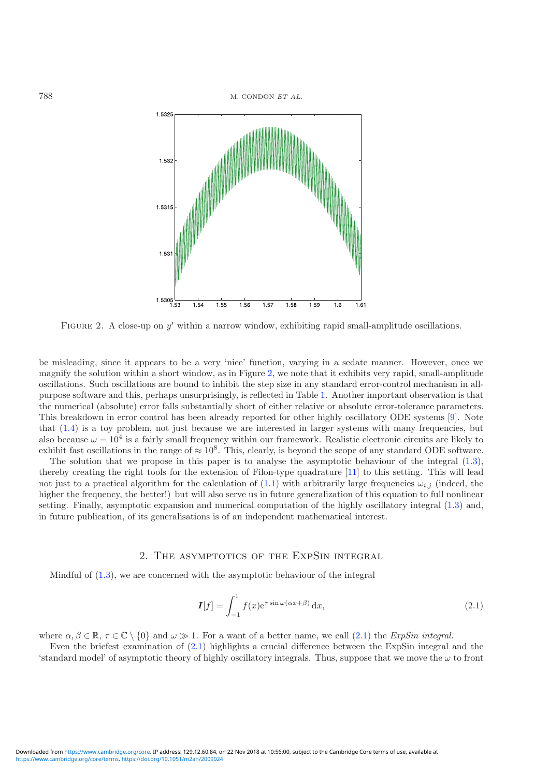

<span id="page-4-0"></span>FIGURE 2. A close-up on  $y'$  within a narrow window, exhibiting rapid small-amplitude oscillations.

be misleading, since it appears to be a very 'nice' function, varying in a sedate manner. However, once we magnify the solution within a short window, as in Figure [2,](#page-3-0) we note that it exhibits very rapid, small-amplitude oscillations. Such oscillations are bound to inhibit the step size in any standard error-control mechanism in allpurpose software and this, perhaps unsurprisingly, is reflected in Table [1.](#page-2-2) Another important observation is that the numerical (absolute) error falls substantially short of either relative or absolute error-tolerance parameters. This breakdown in error control has been already reported for other highly oscillatory ODE systems [\[9\]](#page-19-10). Note that [\(1.4\)](#page-2-0) is a toy problem, not just because we are interested in larger systems with many frequencies, but also because  $\omega = 10^4$  is a fairly small frequency within our framework. Realistic electronic circuits are likely to exhibit fast oscillations in the range of  $\approx 10^8$ . This, clearly, is beyond the scope of any standard ODE software.

The solution that we propose in this paper is to analyse the asymptotic behaviour of the integral [\(1.3\)](#page-1-1), thereby creating the right tools for the extension of Filon-type quadrature [\[11\]](#page-19-11) to this setting. This will lead not just to a practical algorithm for the calculation of [\(1.1\)](#page-0-0) with arbitrarily large frequencies  $\omega_{i,j}$  (indeed, the higher the frequency, the better!) but will also serve us in future generalization of this equation to full nonlinear setting. Finally, asymptotic expansion and numerical computation of the highly oscillatory integral [\(1.3\)](#page-1-1) and, in future publication, of its generalisations is of an independent mathematical interest.

#### 2. The asymptotics of the ExpSin integral

Mindful of [\(1.3\)](#page-1-1), we are concerned with the asymptotic behaviour of the integral

$$
\mathbf{I}[f] = \int_{-1}^{1} f(x)e^{\tau \sin \omega(\alpha x + \beta)} dx,
$$
\n(2.1)

where  $\alpha, \beta \in \mathbb{R}, \tau \in \mathbb{C} \setminus \{0\}$  and  $\omega \gg 1$ . For a want of a better name, we call [\(2.1\)](#page-3-1) the *ExpSin integral*.

Even the briefest examination of [\(2.1\)](#page-3-1) highlights a crucial difference between the ExpSin integral and the 'standard model' of asymptotic theory of highly oscillatory integrals. Thus, suppose that we move the  $\omega$  to front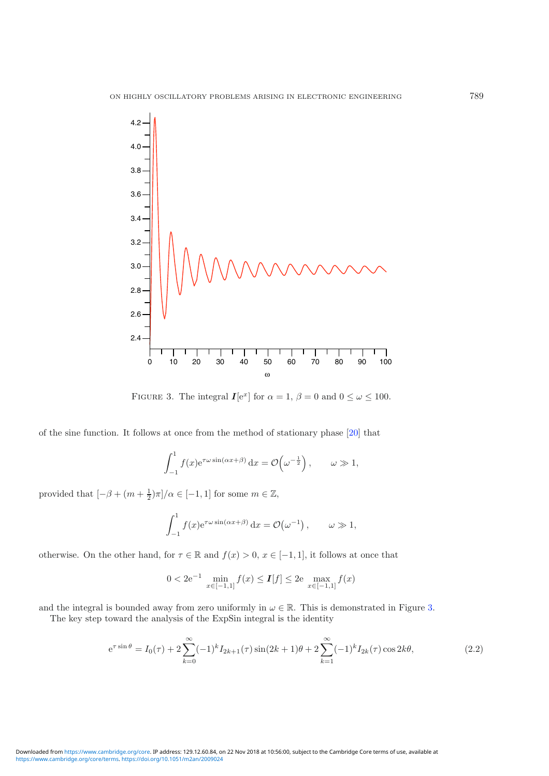<span id="page-5-0"></span>

FIGURE 3. The integral  $I[e^x]$  for  $\alpha = 1$ ,  $\beta = 0$  and  $0 \le \omega \le 100$ .

of the sine function. It follows at once from the method of stationary phase [\[20](#page-19-6)] that

$$
\int_{-1}^{1} f(x)e^{\tau \omega \sin(\alpha x + \beta)} dx = \mathcal{O}\left(\omega^{-\frac{1}{2}}\right), \qquad \omega \gg 1,
$$

provided that  $\left[-\beta + (m + \frac{1}{2})\pi\right]$ / $\alpha \in \left[-1, 1\right]$  for some  $m \in \mathbb{Z}$ ,

$$
\int_{-1}^{1} f(x) e^{\tau \omega \sin(\alpha x + \beta)} dx = \mathcal{O}(\omega^{-1}), \qquad \omega \gg 1,
$$

<span id="page-5-1"></span>otherwise. On the other hand, for  $\tau \in \mathbb{R}$  and  $f(x) > 0$ ,  $x \in [-1, 1]$ , it follows at once that

$$
0 < 2e^{-1} \min_{x \in [-1,1]} f(x) \le I[f] \le 2e \max_{x \in [-1,1]} f(x)
$$

and the integral is bounded away from zero uniformly in  $\omega \in \mathbb{R}$ . This is demonstrated in Figure [3.](#page-4-0)

The key step toward the analysis of the ExpSin integral is the identity

$$
e^{\tau \sin \theta} = I_0(\tau) + 2 \sum_{k=0}^{\infty} (-1)^k I_{2k+1}(\tau) \sin(2k+1)\theta + 2 \sum_{k=1}^{\infty} (-1)^k I_{2k}(\tau) \cos 2k\theta,
$$
\n(2.2)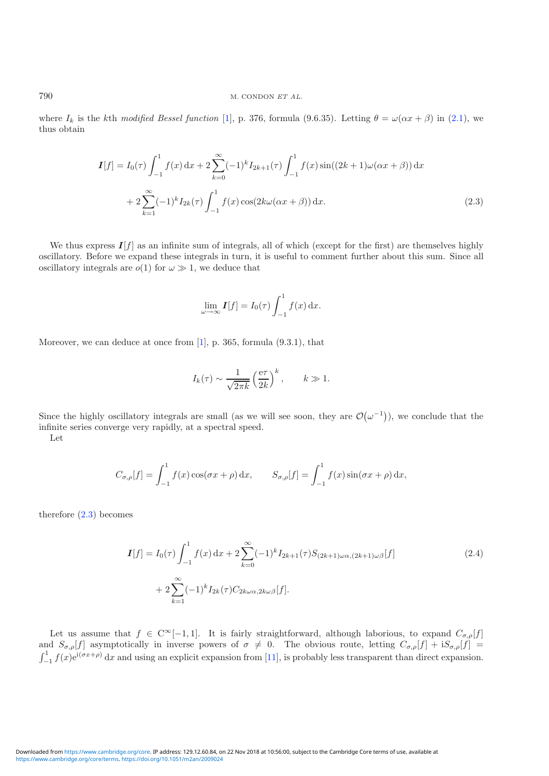where  $I_k$  is the kth modified Bessel function [\[1\]](#page-18-3), p. 376, formula (9.6.35). Letting  $\theta = \omega(\alpha x + \beta)$  in [\(2.1\)](#page-3-1), we thus obtain

$$
I[f] = I_0(\tau) \int_{-1}^1 f(x) dx + 2 \sum_{k=0}^{\infty} (-1)^k I_{2k+1}(\tau) \int_{-1}^1 f(x) \sin((2k+1)\omega(\alpha x + \beta)) dx
$$
  
+ 
$$
2 \sum_{k=1}^{\infty} (-1)^k I_{2k}(\tau) \int_{-1}^1 f(x) \cos(2k\omega(\alpha x + \beta)) dx.
$$
 (2.3)

We thus express  $I[f]$  as an infinite sum of integrals, all of which (except for the first) are themselves highly oscillatory. Before we expand these integrals in turn, it is useful to comment further about this sum. Since all oscillatory integrals are  $o(1)$  for  $\omega \gg 1$ , we deduce that

$$
\lim_{\omega \to \infty} \mathbf{I}[f] = I_0(\tau) \int_{-1}^1 f(x) \, \mathrm{d}x.
$$

Moreover, we can deduce at once from [\[1\]](#page-18-3), p. 365, formula (9.3.1), that

$$
I_k(\tau) \sim \frac{1}{\sqrt{2\pi k}} \left(\frac{e\tau}{2k}\right)^k
$$
,  $k \gg 1$ .

<span id="page-6-0"></span>Since the highly oscillatory integrals are small (as we will see soon, they are  $\mathcal{O}(\omega^{-1})$ ), we conclude that the infinite series converge very rapidly, at a spectral speed.

Let

$$
C_{\sigma,\rho}[f] = \int_{-1}^{1} f(x) \cos(\sigma x + \rho) dx, \qquad S_{\sigma,\rho}[f] = \int_{-1}^{1} f(x) \sin(\sigma x + \rho) dx,
$$

<span id="page-6-1"></span>therefore [\(2.3\)](#page-5-0) becomes

$$
I[f] = I_0(\tau) \int_{-1}^1 f(x) dx + 2 \sum_{k=0}^{\infty} (-1)^k I_{2k+1}(\tau) S_{(2k+1)\omega\alpha,(2k+1)\omega\beta}[f]
$$
  
+ 
$$
2 \sum_{k=1}^{\infty} (-1)^k I_{2k}(\tau) C_{2k\omega\alpha,2k\omega\beta}[f].
$$
 (2.4)

Let us assume that  $f \in C^{\infty}[-1,1]$ . It is fairly straightforward, although laborious, to expand  $C_{\sigma,\rho}[f]$ and  $S_{\sigma,\rho}[f]$  asymptotically in inverse powers of  $\sigma \neq 0$ . The obvious route, letting  $C_{\sigma,\rho}[f] + iS_{\sigma,\rho}[f] =$  $\int_{-1}^{1} f(x)e^{i(\sigma x + \rho)} dx$  and using an explicit expansion from [\[11\]](#page-19-11), is probably less transparent than direct expansion.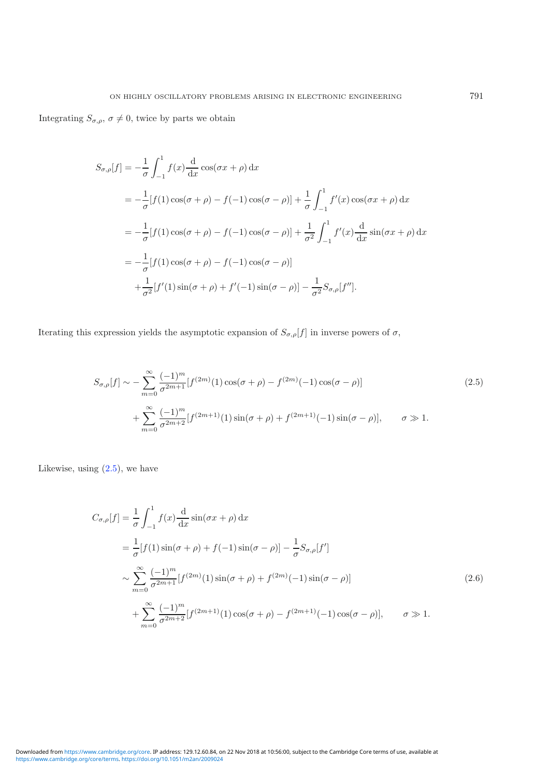Integrating  $S_{\sigma,\rho}$ ,  $\sigma \neq 0$ , twice by parts we obtain

$$
S_{\sigma,\rho}[f] = -\frac{1}{\sigma} \int_{-1}^{1} f(x) \frac{d}{dx} \cos(\sigma x + \rho) dx
$$
  
=  $-\frac{1}{\sigma} [f(1) \cos(\sigma + \rho) - f(-1) \cos(\sigma - \rho)] + \frac{1}{\sigma} \int_{-1}^{1} f'(x) \cos(\sigma x + \rho) dx$   
=  $-\frac{1}{\sigma} [f(1) \cos(\sigma + \rho) - f(-1) \cos(\sigma - \rho)] + \frac{1}{\sigma^2} \int_{-1}^{1} f'(x) \frac{d}{dx} \sin(\sigma x + \rho) dx$   
=  $-\frac{1}{\sigma} [f(1) \cos(\sigma + \rho) - f(-1) \cos(\sigma - \rho)]$   
 $+\frac{1}{\sigma^2} [f'(1) \sin(\sigma + \rho) + f'(-1) \sin(\sigma - \rho)] - \frac{1}{\sigma^2} S_{\sigma,\rho}[f''].$ 

Iterating this expression yields the asymptotic expansion of  $S_{\sigma,\rho}[f]$  in inverse powers of  $\sigma$ ,

$$
S_{\sigma,\rho}[f] \sim -\sum_{m=0}^{\infty} \frac{(-1)^m}{\sigma^{2m+1}} [f^{(2m)}(1)\cos(\sigma+\rho) - f^{(2m)}(-1)\cos(\sigma-\rho)] + \sum_{m=0}^{\infty} \frac{(-1)^m}{\sigma^{2m+2}} [f^{(2m+1)}(1)\sin(\sigma+\rho) + f^{(2m+1)}(-1)\sin(\sigma-\rho)], \qquad \sigma \gg 1.
$$
\n(2.5)

Likewise, using  $(2.5)$ , we have

$$
C_{\sigma,\rho}[f] = \frac{1}{\sigma} \int_{-1}^{1} f(x) \frac{d}{dx} \sin(\sigma x + \rho) dx
$$
  
\n
$$
= \frac{1}{\sigma} [f(1) \sin(\sigma + \rho) + f(-1) \sin(\sigma - \rho)] - \frac{1}{\sigma} S_{\sigma,\rho}[f']
$$
  
\n
$$
\sim \sum_{m=0}^{\infty} \frac{(-1)^m}{\sigma^{2m+1}} [f^{(2m)}(1) \sin(\sigma + \rho) + f^{(2m)}(-1) \sin(\sigma - \rho)]
$$
  
\n
$$
+ \sum_{m=0}^{\infty} \frac{(-1)^m}{\sigma^{2m+2}} [f^{(2m+1)}(1) \cos(\sigma + \rho) - f^{(2m+1)}(-1) \cos(\sigma - \rho)], \qquad \sigma \gg 1.
$$
\n(2.6)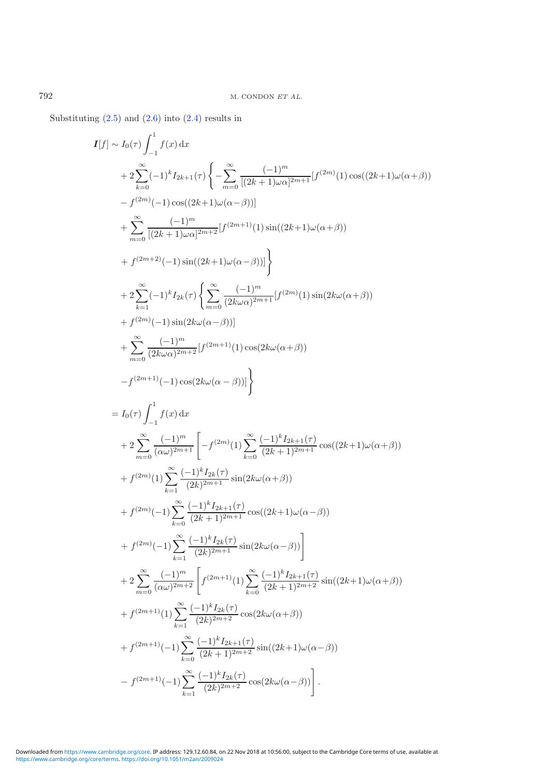Substituting  $(2.5)$  and  $(2.6)$  into  $(2.4)$  results in

<span id="page-8-0"></span>
$$
I[f] \sim I_0(\tau) \int_{-1}^{1} f(x) dx
$$
  
+  $2 \sum_{k=0}^{\infty} (-1)^k I_{2k+1}(\tau) \left\{ -\sum_{m=0}^{\infty} \frac{(-1)^m}{[(2k+1)\omega\alpha]^{2m+1}} [f^{(2m)}(1) \cos((2k+1)\omega(\alpha+\beta)) \right\}$   
+  $\sum_{m=0}^{\infty} \frac{(-1)^m}{[(2k+1)\omega\alpha]^{2m+2}} [f^{(2m+1)}(1) \sin((2k+1)\omega(\alpha+\beta))$   
+  $f^{(2m+2)}(-1) \sin((2k+1)\omega(\alpha-\beta))] \right\}$   
+  $2 \sum_{k=1}^{\infty} (-1)^k I_{2k}(\tau) \left\{ \sum_{m=0}^{\infty} \frac{(-1)^m}{(2k\omega\alpha)^{2m+1}} [f^{(2m)}(1) \sin(2k\omega(\alpha+\beta)) \right\}$   
+  $t^{2m}(-1) \sin(2k\omega(\alpha-\beta))]$   
+  $\sum_{m=0}^{\infty} \frac{(-1)^m}{(2k\omega\alpha)^{2m+2}} [f^{(2m+1)}(1) \cos(2k\omega(\alpha+\beta))$   
-  $f^{(2m+1)}(-1) \cos(2k\omega(\alpha-\beta))]$   
-  $f^{(2m+1)}(-1) \cos(2k\omega(\alpha-\beta))]$   
=  $I_0(\tau) \int_{-1}^{1} f(x) dx$   
+  $2 \sum_{m=0}^{\infty} \frac{(-1)^m}{(\alpha\omega)^{2m+1}} \left[ -f^{(2m)}(1) \sum_{k=0}^{\infty} \frac{(-1)^k I_{2k+1}(\tau)}{(2k+1)^{2m+1}} \cos((2k+1)\omega(\alpha+\beta)) \right.$   
+  $f^{(2m)}(1) \sum_{k=1}^{\infty} \frac{(-1)^k I_{2k}(\tau)}{(2k)^{2m+1}} \sin(2k\omega(\alpha+\beta))$   
+  $f^{(2m)}(-1) \sum_{k=0}^{\infty} \frac{(-1)^k I_{2k+1}(\tau)}{(2k)^{2m+1}} \cos((2k+1)\omega(\alpha-\beta))$   
+  $f^{($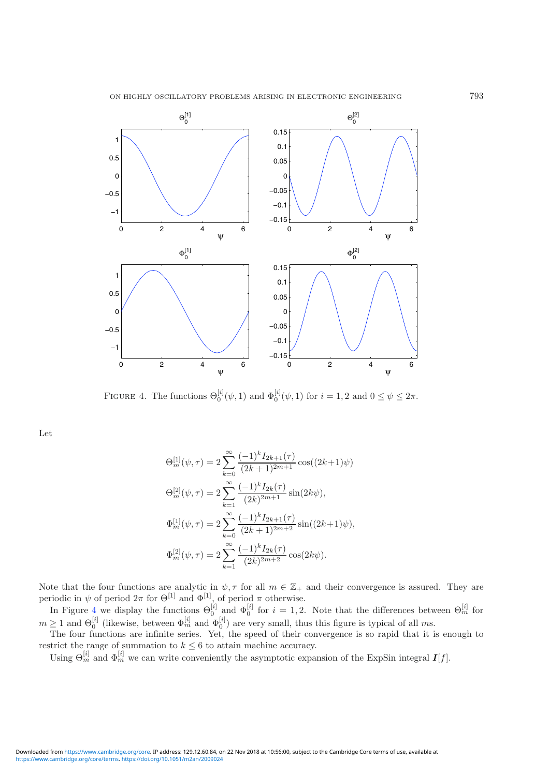<span id="page-9-2"></span>

<span id="page-9-0"></span>FIGURE 4. The functions  $\Theta_0^{[i]}(\psi, 1)$  and  $\Phi_0^{[i]}(\psi, 1)$  for  $i = 1, 2$  and  $0 \le \psi \le 2\pi$ .

<span id="page-9-1"></span>Let

$$
\Theta_m^{[1]}(\psi, \tau) = 2 \sum_{k=0}^{\infty} \frac{(-1)^k I_{2k+1}(\tau)}{(2k+1)^{2m+1}} \cos((2k+1)\psi)
$$
  
\n
$$
\Theta_m^{[2]}(\psi, \tau) = 2 \sum_{k=1}^{\infty} \frac{(-1)^k I_{2k}(\tau)}{(2k)^{2m+1}} \sin(2k\psi),
$$
  
\n
$$
\Phi_m^{[1]}(\psi, \tau) = 2 \sum_{k=0}^{\infty} \frac{(-1)^k I_{2k+1}(\tau)}{(2k+1)^{2m+2}} \sin((2k+1)\psi),
$$
  
\n
$$
\Phi_m^{[2]}(\psi, \tau) = 2 \sum_{k=1}^{\infty} \frac{(-1)^k I_{2k}(\tau)}{(2k)^{2m+2}} \cos(2k\psi).
$$

Note that the four functions are analytic in  $\psi, \tau$  for all  $m \in \mathbb{Z}_+$  and their convergence is assured. They are periodic in  $\psi$  of period  $2\pi$  for  $\Theta^{[1]}$  and  $\Phi^{[1]}$ , of period  $\pi$  otherwise.

In Figure [4](#page-8-0) we display the functions  $\Theta_0^{[i]}$  and  $\Phi_0^{[i]}$  for  $i=1,2$ . Note that the differences between  $\Theta_m^{[i]}$  for  $m \geq 1$  and  $\Theta_0^{[i]}$  (likewise, between  $\Phi_m^{[i]}$  and  $\Phi_0^{[i]}$ ) are very small, thus this figure is typical of all ms.

The four functions are infinite series. Yet, the speed of their convergence is so rapid that it is enough to restrict the range of summation to  $k \leq 6$  to attain machine accuracy.

Using  $\Theta_m^{[i]}$  and  $\Phi_m^{[i]}$  we can write conveniently the asymptotic expansion of the ExpSin integral  $I[f]$ .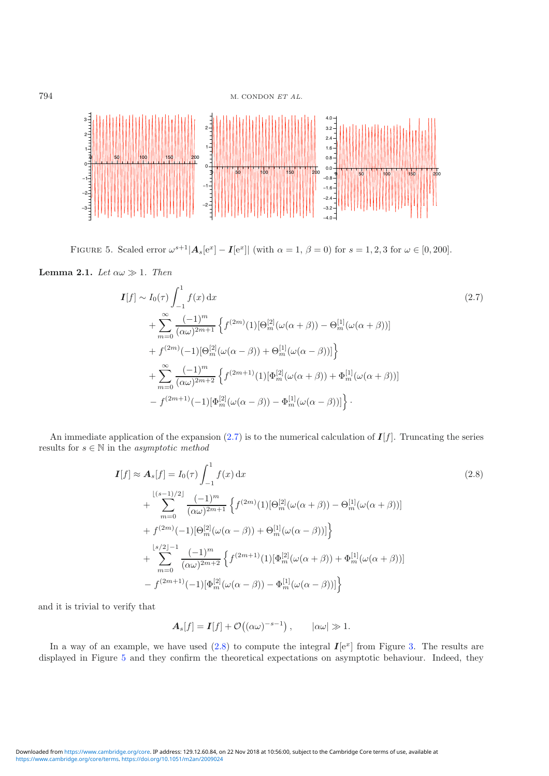794 M. CONDON ET AL.



FIGURE 5. Scaled error  $\omega^{s+1} |A_s[e^x] - I[e^x]|$  (with  $\alpha = 1, \beta = 0$ ) for  $s = 1, 2, 3$  for  $\omega \in [0, 200]$ .

**Lemma 2.1.** Let  $\alpha \omega \gg 1$ . Then

<span id="page-10-2"></span><span id="page-10-0"></span>
$$
I[f] \sim I_0(\tau) \int_{-1}^1 f(x) dx
$$
\n
$$
+ \sum_{m=0}^{\infty} \frac{(-1)^m}{(\alpha \omega)^{2m+1}} \left\{ f^{(2m)}(1) [\Theta_m^{[2]}(\omega(\alpha+\beta)) - \Theta_m^{[1]}(\omega(\alpha+\beta))] \right\}
$$
\n
$$
+ f^{(2m)}(-1) [\Theta_m^{[2]}(\omega(\alpha-\beta)) + \Theta_m^{[1]}(\omega(\alpha-\beta))] \right\}
$$
\n
$$
+ \sum_{m=0}^{\infty} \frac{(-1)^m}{(\alpha \omega)^{2m+2}} \left\{ f^{(2m+1)}(1) [\Phi_m^{[2]}(\omega(\alpha+\beta)) + \Phi_m^{[1]}(\omega(\alpha+\beta))] \right\}
$$
\n
$$
- f^{(2m+1)}(-1) [\Phi_m^{[2]}(\omega(\alpha-\beta)) - \Phi_m^{[1]}(\omega(\alpha-\beta))] \right\}.
$$
\n(2.7)

An immediate application of the expansion  $(2.7)$  is to the numerical calculation of  $I[f]$ . Truncating the series results for  $s \in \mathbb{N}$  in the  $asymptotic$   $method$ 

<span id="page-10-1"></span>
$$
I[f] \approx A_s[f] = I_0(\tau) \int_{-1}^1 f(x) dx
$$
\n
$$
+ \sum_{m=0}^{\lfloor (s-1)/2 \rfloor} \frac{(-1)^m}{(\alpha \omega)^{2m+1}} \left\{ f^{(2m)}(1) [\Theta_m^{[2]}(\omega(\alpha+\beta)) - \Theta_m^{[1]}(\omega(\alpha+\beta))] \right\}
$$
\n
$$
+ f^{(2m)}(-1) [\Theta_m^{[2]}(\omega(\alpha-\beta)) + \Theta_m^{[1]}(\omega(\alpha-\beta))] \right\}
$$
\n
$$
+ \sum_{m=0}^{\lfloor s/2 \rfloor - 1} \frac{(-1)^m}{(\alpha \omega)^{2m+2}} \left\{ f^{(2m+1)}(1) [\Phi_m^{[2]}(\omega(\alpha+\beta)) + \Phi_m^{[1]}(\omega(\alpha+\beta))] \right\}
$$
\n
$$
- f^{(2m+1)}(-1) [\Phi_m^{[2]}(\omega(\alpha-\beta)) - \Phi_m^{[1]}(\omega(\alpha-\beta))] \right\}
$$
\n(2.8)

and it is trivial to verify that

$$
\mathbf{A}_s[f] = \mathbf{I}[f] + \mathcal{O}((\alpha\omega)^{-s-1}), \qquad |\alpha\omega| \gg 1.
$$

In a way of an example, we have used  $(2.8)$  to compute the integral  $I[e^x]$  from Figure [3.](#page-4-0) The results are displayed in Figure [5](#page-9-2) and they confirm the theoretical expectations on asymptotic behaviour. Indeed, they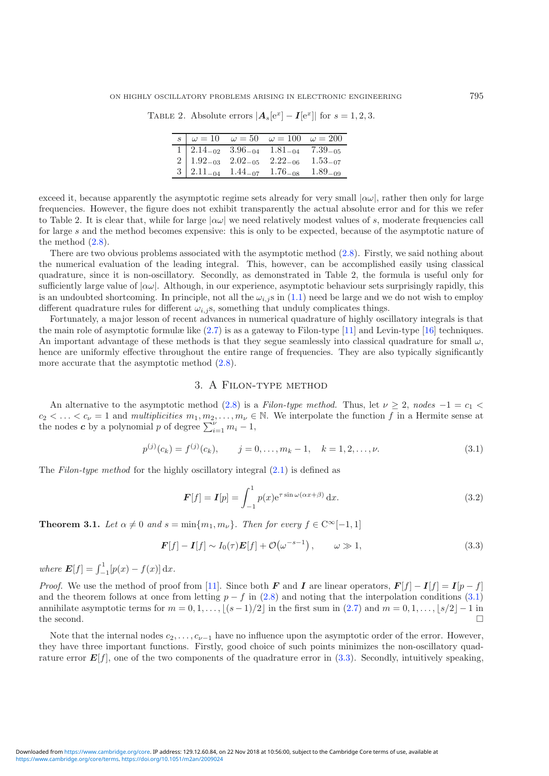TABLE 2. Absolute errors  $|\mathbf{A}_s[e^x] - \mathbf{I}[e^x]|$  for  $s = 1, 2, 3$ .

|  | $\begin{array}{c cc}\n\hline\ns & \omega = 10 & \omega = 50 & \omega = 100 & \omega = 200\n\end{array}$                                                                                                     |  |
|--|-------------------------------------------------------------------------------------------------------------------------------------------------------------------------------------------------------------|--|
|  |                                                                                                                                                                                                             |  |
|  |                                                                                                                                                                                                             |  |
|  | $\begin{array}{cccccc} 1 & 2.14_{-02} & 3.96_{-04} & 1.81_{-04} & 7.39_{-05} \\ 2 & 1.92_{-03} & 2.02_{-05} & 2.22_{-06} & 1.53_{-07} \\ 3 & 2.11_{-04} & 1.44_{-07} & 1.76_{-08} & 1.89_{-09} \end{array}$ |  |

<span id="page-11-0"></span>exceed it, because apparently the asymptotic regime sets already for very small  $|\alpha\omega|$ , rather then only for large frequencies. However, the figure does not exhibit transparently the actual absolute error and for this we refer to Table 2. It is clear that, while for large  $|\alpha\omega|$  we need relatively modest values of s, moderate frequencies call for large s and the method becomes expensive: this is only to be expected, because of the asymptotic nature of the method  $(2.8)$ .

There are two obvious problems associated with the asymptotic method [\(2.8\)](#page-9-1). Firstly, we said nothing about the numerical evaluation of the leading integral. This, however, can be accomplished easily using classical quadrature, since it is non-oscillatory. Secondly, as demonstrated in Table 2, the formula is useful only for sufficiently large value of  $|\alpha\omega|$ . Although, in our experience, asymptotic behaviour sets surprisingly rapidly, this is an undoubted shortcoming. In principle, not all the  $\omega_{i,j}$  s in [\(1.1\)](#page-0-0) need be large and we do not wish to employ different quadrature rules for different  $\omega_{i,j}$ s, something that unduly complicates things.

Fortunately, a major lesson of recent advances in numerical quadrature of highly oscillatory integrals is that the main role of asymptotic formulæ like  $(2.7)$  is as a gateway to Filon-type  $[11]$  and Levin-type  $[16]$  techniques. An important advantage of these methods is that they segue seamlessly into classical quadrature for small  $\omega$ , hence are uniformly effective throughout the entire range of frequencies. They are also typically significantly more accurate that the asymptotic method  $(2.8)$ .

#### 3. A Filon-type method

An alternative to the asymptotic method [\(2.8\)](#page-9-1) is a Filon-type method. Thus, let  $\nu \geq 2$ , nodes  $-1 = c_1$  $c_2 < \ldots < c_{\nu} = 1$  and multiplicities  $m_1, m_2, \ldots, m_{\nu} \in \mathbb{N}$ . We interpolate the function f in a Hermite sense at the nodes **c** by a polynomial p of degree  $\sum_{i=1}^{v} m_i - 1$ ,

<span id="page-11-1"></span>
$$
p^{(j)}(c_k) = f^{(j)}(c_k), \qquad j = 0, \dots, m_k - 1, \quad k = 1, 2, \dots, \nu.
$$
 (3.1)

The Filon-type method for the highly oscillatory integral  $(2.1)$  is defined as

$$
\boldsymbol{F}[f] = \boldsymbol{I}[p] = \int_{-1}^{1} p(x) e^{\tau \sin \omega(\alpha x + \beta)} dx.
$$
 (3.2)

**Theorem 3.1.** Let  $\alpha \neq 0$  and  $s = \min\{m_1, m_\nu\}$ . Then for every  $f \in C^\infty[-1, 1]$ 

$$
\boldsymbol{F}[f] - \boldsymbol{I}[f] \sim I_0(\tau) \boldsymbol{E}[f] + \mathcal{O}(\omega^{-s-1}), \qquad \omega \gg 1,
$$
\n(3.3)

where  $E[f] = \int_{-1}^{1} [p(x) - f(x)] dx$ .

*Proof.* We use the method of proof from [\[11](#page-19-11)]. Since both F and I are linear operators,  $F[f] - I[f] = I[p - f]$ and the theorem follows at once from letting  $p - f$  in [\(2.8\)](#page-9-1) and noting that the interpolation conditions [\(3.1\)](#page-10-0) annihilate asymptotic terms for  $m = 0, 1, ..., \lfloor (s-1)/2 \rfloor$  in the first sum in  $(2.7)$  and  $m = 0, 1, ..., \lfloor s/2 \rfloor - 1$  in the second. the second.  $\Box$ 

Note that the internal nodes  $c_2, \ldots, c_{\nu-1}$  have no influence upon the asymptotic order of the error. However, they have three important functions. Firstly, good choice of such points minimizes the non-oscillatory quadrature error  $E[f]$ , one of the two components of the quadrature error in [\(3.3\)](#page-10-1). Secondly, intuitively speaking,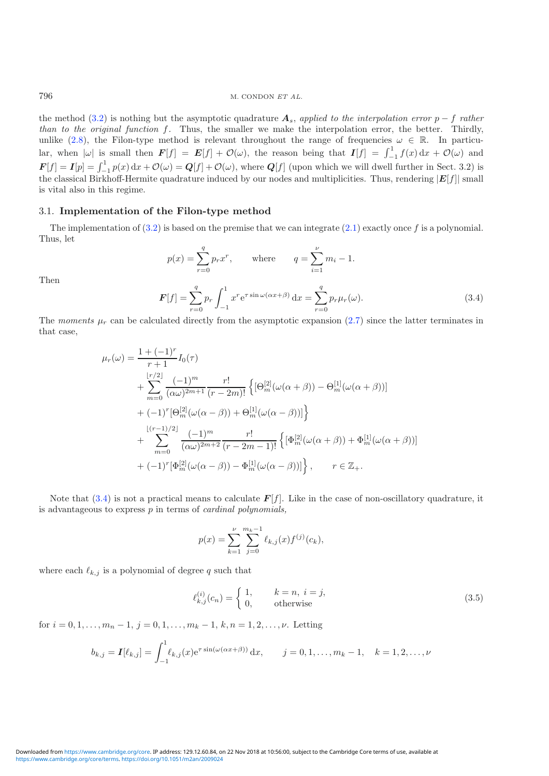the method [\(3.2\)](#page-10-2) is nothing but the asymptotic quadrature  $A_s$ , applied to the interpolation error p – f rather than to the original function  $f$ . Thus, the smaller we make the interpolation error, the better. Thirdly, unlike [\(2.8\)](#page-9-1), the Filon-type method is relevant throughout the range of frequencies  $\omega \in \mathbb{R}$ . In particular, when  $|\omega|$  is small then  $\mathbf{F}[f] = \mathbf{E}[f] + \mathcal{O}(\omega)$ , the reason being that  $\mathbf{I}[f] = \int_{-1}^{1} f(x) dx + \mathcal{O}(\omega)$  and  $\mathbf{F}[f] = \mathbf{I}[p] = \int_{-1}^{1} p(x) dx + \mathcal{O}(\omega) = \mathbf{Q}[f] + \mathcal{O}(\omega)$ , where  $\mathbf{Q}[f]$  (upon which we will dwell further in Sect. 3.2) is the classical Birkhoff-Hermite quadrature induced by our nodes and multiplicities. Thus, rendering  $|E[f]|$  small is vital also in this regime.

#### 3.1. Implementation of the Filon-type method

The implementation of  $(3.2)$  is based on the premise that we can integrate  $(2.1)$  exactly once f is a polynomial. Thus, let

$$
p(x) = \sum_{r=0}^{q} p_r x^r, \quad \text{where} \quad q = \sum_{i=1}^{\nu} m_i - 1.
$$

$$
F[f] = \sum_{r=0}^{q} p_r \int_{-1}^{1} x^r e^{\tau \sin \omega (\alpha x + \beta)} dx = \sum_{r=0}^{q} p_r \mu_r(\omega).
$$
(3.4)

Then

The moments  $\mu_r$  can be calculated directly from the asymptotic expansion [\(2.7\)](#page-9-0) since the latter terminates in that case,

$$
\mu_r(\omega) = \frac{1 + (-1)^r}{r+1} I_0(\tau)
$$
  
+ 
$$
\sum_{m=0}^{\lfloor r/2 \rfloor} \frac{(-1)^m}{(\alpha \omega)^{2m+1}} \frac{r!}{(r-2m)!} \left\{ [\Theta_m^{[2]}(\omega(\alpha+\beta)) - \Theta_m^{[1]}(\omega(\alpha+\beta))] \right\}
$$
  
+ 
$$
(-1)^r [\Theta_m^{[2]}(\omega(\alpha-\beta)) + \Theta_m^{[1]}(\omega(\alpha-\beta))] \right\}
$$
  
+ 
$$
\sum_{m=0}^{\lfloor (r-1)/2 \rfloor} \frac{(-1)^m}{(\alpha \omega)^{2m+2}} \frac{r!}{(r-2m-1)!} \left\{ [\Phi_m^{[2]}(\omega(\alpha+\beta)) + \Phi_m^{[1]}(\omega(\alpha+\beta))] \right\}
$$
  
+ 
$$
(-1)^r [\Phi_m^{[2]}(\omega(\alpha-\beta)) - \Phi_m^{[1]}(\omega(\alpha-\beta))] \right\}, \qquad r \in \mathbb{Z}_+.
$$

Note that  $(3.4)$  is not a practical means to calculate  $\mathbf{F}[f]$ . Like in the case of non-oscillatory quadrature, it is advantageous to express  $p$  in terms of *cardinal polynomials*,

$$
p(x) = \sum_{k=1}^{\nu} \sum_{j=0}^{m_k - 1} \ell_{k,j}(x) f^{(j)}(c_k),
$$

where each  $\ell_{k,j}$  is a polynomial of degree q such that

$$
\ell_{k,j}^{(i)}(c_n) = \begin{cases} 1, & k = n, i = j, \\ 0, & \text{otherwise} \end{cases}
$$
 (3.5)

for  $i = 0, 1, \ldots, m_n - 1$ ,  $j = 0, 1, \ldots, m_k - 1$ ,  $k, n = 1, 2, \ldots, \nu$ . Letting

$$
b_{k,j} = \mathbf{I}[\ell_{k,j}] = \int_{-1}^{1} \ell_{k,j}(x) e^{\tau \sin(\omega(\alpha x + \beta))} dx, \qquad j = 0, 1, \dots, m_k - 1, \quad k = 1, 2, \dots, \nu
$$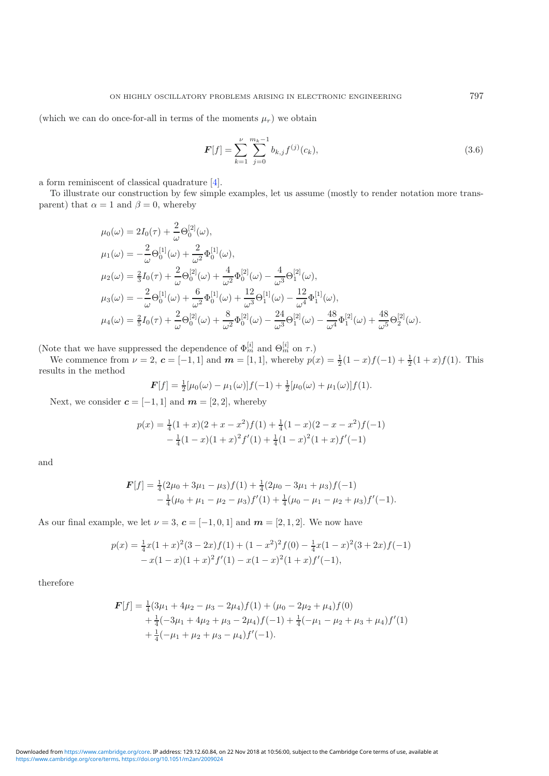(which we can do once-for-all in terms of the moments  $\mu_r$ ) we obtain

<span id="page-13-0"></span>
$$
F[f] = \sum_{k=1}^{\nu} \sum_{j=0}^{m_k - 1} b_{k,j} f^{(j)}(c_k),
$$
\n(3.6)

a form reminiscent of classical quadrature [\[4\]](#page-18-1).

To illustrate our construction by few simple examples, let us assume (mostly to render notation more transparent) that  $\alpha = 1$  and  $\beta = 0$ , whereby

$$
\mu_0(\omega) = 2I_0(\tau) + \frac{2}{\omega} \Theta_0^{[2]}(\omega),
$$
  
\n
$$
\mu_1(\omega) = -\frac{2}{\omega} \Theta_0^{[1]}(\omega) + \frac{2}{\omega^2} \Phi_0^{[1]}(\omega),
$$
  
\n
$$
\mu_2(\omega) = \frac{2}{3}I_0(\tau) + \frac{2}{\omega} \Theta_0^{[2]}(\omega) + \frac{4}{\omega^2} \Phi_0^{[2]}(\omega) - \frac{4}{\omega^3} \Theta_1^{[2]}(\omega),
$$
  
\n
$$
\mu_3(\omega) = -\frac{2}{\omega} \Theta_0^{[1]}(\omega) + \frac{6}{\omega^2} \Phi_0^{[1]}(\omega) + \frac{12}{\omega^3} \Theta_1^{[1]}(\omega) - \frac{12}{\omega^4} \Phi_1^{[1]}(\omega),
$$
  
\n
$$
\mu_4(\omega) = \frac{2}{5}I_0(\tau) + \frac{2}{\omega} \Theta_0^{[2]}(\omega) + \frac{8}{\omega^2} \Phi_0^{[2]}(\omega) - \frac{24}{\omega^3} \Theta_1^{[2]}(\omega) - \frac{48}{\omega^4} \Phi_1^{[2]}(\omega) + \frac{48}{\omega^5} \Theta_2^{[2]}(\omega).
$$

(Note that we have suppressed the dependence of  $\Phi_m^{[i]}$  and  $\Theta_m^{[i]}$  on  $\tau$ .)

We commence from  $\nu = 2$ ,  $\mathbf{c} = [-1, 1]$  and  $\mathbf{m} = [1, 1]$ , whereby  $p(x) = \frac{1}{2}(1-x)f(-1) + \frac{1}{2}(1+x)f(1)$ . This results in the method

$$
\boldsymbol{F}[f] = \frac{1}{2}[\mu_0(\omega) - \mu_1(\omega)]f(-1) + \frac{1}{2}[\mu_0(\omega) + \mu_1(\omega)]f(1).
$$

Next, we consider  $c = [-1, 1]$  and  $m = [2, 2]$ , whereby

$$
p(x) = \frac{1}{4}(1+x)(2+x-x^2)f(1) + \frac{1}{4}(1-x)(2-x-x^2)f(-1) - \frac{1}{4}(1-x)(1+x)^2f'(1) + \frac{1}{4}(1-x)^2(1+x)f'(-1)
$$

and

$$
\mathbf{F}[f] = \frac{1}{4}(2\mu_0 + 3\mu_1 - \mu_3)f(1) + \frac{1}{4}(2\mu_0 - 3\mu_1 + \mu_3)f(-1) - \frac{1}{4}(\mu_0 + \mu_1 - \mu_2 - \mu_3)f'(1) + \frac{1}{4}(\mu_0 - \mu_1 - \mu_2 + \mu_3)f'(-1).
$$

As our final example, we let  $\nu = 3$ ,  $\boldsymbol{c} = [-1, 0, 1]$  and  $\boldsymbol{m} = [2, 1, 2]$ . We now have

$$
p(x) = \frac{1}{4}x(1+x)^2(3-2x)f(1) + (1-x^2)^2f(0) - \frac{1}{4}x(1-x)^2(3+2x)f(-1) - x(1-x)(1+x)^2f'(1) - x(1-x)^2(1+x)f'(-1),
$$

therefore

$$
\mathbf{F}[f] = \frac{1}{4}(3\mu_1 + 4\mu_2 - \mu_3 - 2\mu_4)f(1) + (\mu_0 - 2\mu_2 + \mu_4)f(0) \n+ \frac{1}{4}(-3\mu_1 + 4\mu_2 + \mu_3 - 2\mu_4)f(-1) + \frac{1}{4}(-\mu_1 - \mu_2 + \mu_3 + \mu_4)f'(1) \n+ \frac{1}{4}(-\mu_1 + \mu_2 + \mu_3 - \mu_4)f'(-1).
$$

[https://www.cambridge.org/core/terms.](https://www.cambridge.org/core/terms) <https://doi.org/10.1051/m2an/2009024> Downloaded from [https://www.cambridge.org/core.](https://www.cambridge.org/core) IP address: 129.12.60.84, on 22 Nov 2018 at 10:56:00, subject to the Cambridge Core terms of use, available at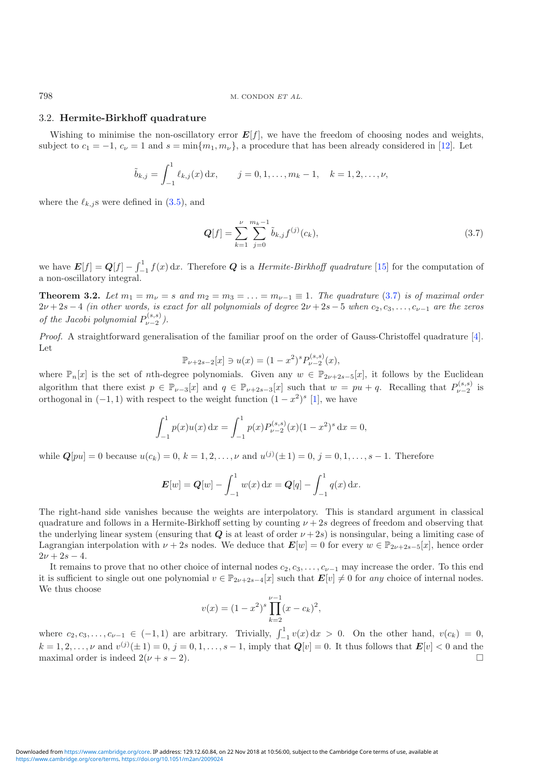#### 3.2. Hermite-Birkhoff quadrature

Wishing to minimise the non-oscillatory error  $E[f]$ , we have the freedom of choosing nodes and weights, subject to  $c_1 = -1$ ,  $c_\nu = 1$  and  $s = \min\{m_1, m_\nu\}$ , a procedure that has been already considered in [\[12\]](#page-19-12). Let

$$
\tilde{b}_{k,j} = \int_{-1}^{1} \ell_{k,j}(x) dx, \qquad j = 0, 1, \ldots, m_k - 1, \quad k = 1, 2, \ldots, \nu,
$$

where the  $\ell_{k,j}$ s were defined in  $(3.5)$ , and

$$
Q[f] = \sum_{k=1}^{\nu} \sum_{j=0}^{m_k - 1} \tilde{b}_{k,j} f^{(j)}(c_k),
$$
\n(3.7)

we have  $E[f] = Q[f] - \int_{-1}^{1} f(x) dx$ . Therefore Q is a *Hermite-Birkhoff quadrature* [\[15\]](#page-19-13) for the computation of a non-oscillatory integral.

**Theorem 3.2.** Let  $m_1 = m_\nu = s$  and  $m_2 = m_3 = \ldots = m_{\nu-1} \equiv 1$ . The quadrature [\(3.7\)](#page-13-0) is of maximal order  $2\nu+2s-4$  (in other words, is exact for all polynomials of degree  $2\nu+2s-5$  when  $c_2, c_3, \ldots, c_{\nu-1}$  are the zeros of the Jacobi polynomial  $P_{\nu-2}^{(s,s)}$ ).

Proof. A straightforward generalisation of the familiar proof on the order of Gauss-Christoffel quadrature [\[4\]](#page-18-1). Let

$$
\mathbb{P}_{\nu+2s-2}[x] \ni u(x) = (1-x^2)^s P_{\nu-2}^{(s,s)}(x),
$$

where  $\mathbb{P}_n[x]$  is the set of nth-degree polynomials. Given any  $w \in \mathbb{P}_{2\nu+2s-5}[x]$ , it follows by the Euclidean algorithm that there exist  $p \in \mathbb{P}_{\nu-3}[x]$  and  $q \in \mathbb{P}_{\nu+2s-3}[x]$  such that  $w = pu + q$ . Recalling that  $P_{\nu-2}^{(s,s)}$  is orthogonal in  $(-1, 1)$  with respect to the weight function  $(1 - x^2)^s$  [\[1\]](#page-18-3), we have

$$
\int_{-1}^{1} p(x)u(x) dx = \int_{-1}^{1} p(x)P_{\nu-2}^{(s,s)}(x)(1-x^2)^s dx = 0,
$$

while  $Q[pu] = 0$  because  $u(c_k) = 0, k = 1, 2, ..., \nu$  and  $u^{(j)}(\pm 1) = 0, j = 0, 1, ..., s - 1$ . Therefore

$$
E[w] = Q[w] - \int_{-1}^{1} w(x) dx = Q[q] - \int_{-1}^{1} q(x) dx.
$$

The right-hand side vanishes because the weights are interpolatory. This is standard argument in classical quadrature and follows in a Hermite-Birkhoff setting by counting  $\nu + 2s$  degrees of freedom and observing that the underlying linear system (ensuring that  $Q$  is at least of order  $\nu + 2s$ ) is nonsingular, being a limiting case of Lagrangian interpolation with  $\nu + 2s$  nodes. We deduce that  $\mathbf{E}[w] = 0$  for every  $w \in \mathbb{P}_{2\nu+2s-5}[x]$ , hence order  $2\nu + 2s - 4.$ 

It remains to prove that no other choice of internal nodes  $c_2, c_3, \ldots, c_{\nu-1}$  may increase the order. To this end it is sufficient to single out one polynomial  $v \in \mathbb{P}_{2\nu+2s-4}[x]$  such that  $\mathbf{E}[v] \neq 0$  for any choice of internal nodes. We thus choose

$$
v(x) = (1 - x^2)^s \prod_{k=2}^{\nu - 1} (x - c_k)^2,
$$

where  $c_2, c_3, \ldots, c_{\nu-1} \in (-1, 1)$  are arbitrary. Trivially,  $\int_{-1}^{1} v(x) dx > 0$ . On the other hand,  $v(c_k) = 0$ ,  $k = 1, 2, ..., \nu$  and  $v^{(j)}(\pm 1) = 0, j = 0, 1, ..., s - 1$ , imply that  $Q[v] = 0$ . It thus follows that  $E[v] < 0$  and the maximal order is indeed  $2(\nu + s - 2)$ .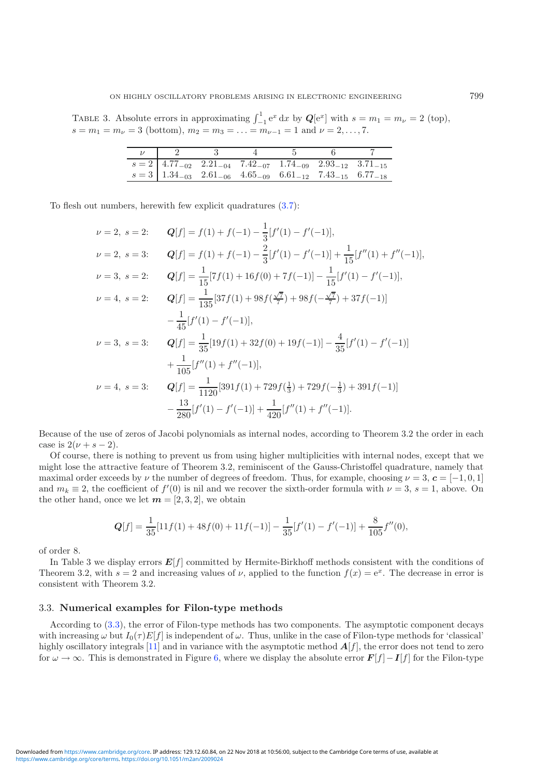TABLE 3. Absolute errors in approximating  $\int_{-1}^{1} e^x dx$  by  $\mathbf{Q}[e^x]$  with  $s = m_1 = m_\nu = 2$  (top),  $s = m_1 = m_\nu = 3$  (bottom),  $m_2 = m_3 = \ldots = m_{\nu-1} = 1$  and  $\nu = 2, \ldots, 7$ .

|                                                                                                                   | $\overline{\phantom{a}3}$ |  |  |
|-------------------------------------------------------------------------------------------------------------------|---------------------------|--|--|
| $s = 2 \begin{bmatrix} 4.77_{-02} & 2.21_{-04} & 7.42_{-07} & 1.74_{-09} & 2.93_{-12} & 3.71_{-15} \end{bmatrix}$ |                           |  |  |
| $s = 3 \begin{bmatrix} 1.34_{-03} & 2.61_{-06} & 4.65_{-09} & 6.61_{-12} & 7.43_{-15} & 6.77_{-18} \end{bmatrix}$ |                           |  |  |

To flesh out numbers, herewith few explicit quadratures [\(3.7\)](#page-13-0):

<span id="page-15-0"></span>
$$
\nu = 2, \ s = 2: \qquad Q[f] = f(1) + f(-1) - \frac{1}{3}[f'(1) - f'(-1)],
$$
\n
$$
\nu = 2, \ s = 3: \qquad Q[f] = f(1) + f(-1) - \frac{2}{3}[f'(1) - f'(-1)] + \frac{1}{15}[f''(1) + f''(-1)],
$$
\n
$$
\nu = 3, \ s = 2: \qquad Q[f] = \frac{1}{15}[7f(1) + 16f(0) + 7f(-1)] - \frac{1}{15}[f'(1) - f'(-1)],
$$
\n
$$
\nu = 4, \ s = 2: \qquad Q[f] = \frac{1}{135}[37f(1) + 98f(\frac{\sqrt{7}}{7}) + 98f(-\frac{\sqrt{7}}{7}) + 37f(-1)]
$$
\n
$$
-\frac{1}{45}[f'(1) - f'(-1)],
$$
\n
$$
\nu = 3, \ s = 3: \qquad Q[f] = \frac{1}{35}[19f(1) + 32f(0) + 19f(-1)] - \frac{4}{35}[f'(1) - f'(-1)]
$$
\n
$$
+\frac{1}{105}[f''(1) + f''(-1)],
$$
\n
$$
\nu = 4, \ s = 3: \qquad Q[f] = \frac{1}{1120}[391f(1) + 729f(\frac{1}{3}) + 729f(-\frac{1}{3}) + 391f(-1)]
$$
\n
$$
-\frac{13}{280}[f'(1) - f'(-1)] + \frac{1}{420}[f''(1) + f''(-1)].
$$

<span id="page-15-1"></span>Because of the use of zeros of Jacobi polynomials as internal nodes, according to Theorem 3.2 the order in each case is  $2(\nu + s - 2)$ .

Of course, there is nothing to prevent us from using higher multiplicities with internal nodes, except that we might lose the attractive feature of Theorem 3.2, reminiscent of the Gauss-Christoffel quadrature, namely that maximal order exceeds by  $\nu$  the number of degrees of freedom. Thus, for example, choosing  $\nu = 3$ ,  $\mathbf{c} = [-1, 0, 1]$ and  $m_k \equiv 2$ , the coefficient of  $f'(0)$  is nil and we recover the sixth-order formula with  $\nu = 3$ ,  $s = 1$ , above. On the other hand, once we let  $m = [2, 3, 2]$ , we obtain

$$
Q[f] = \frac{1}{35}[11f(1) + 48f(0) + 11f(-1)] - \frac{1}{35}[f'(1) - f'(-1)] + \frac{8}{105}f''(0),
$$

of order 8.

In Table 3 we display errors  $E[f]$  committed by Hermite-Birkhoff methods consistent with the conditions of Theorem 3.2, with  $s = 2$  and increasing values of  $\nu$ , applied to the function  $f(x) = e^x$ . The decrease in error is consistent with Theorem 3.2.

#### 3.3. Numerical examples for Filon-type methods

According to [\(3.3\)](#page-10-1), the error of Filon-type methods has two components. The asymptotic component decays with increasing  $\omega$  but  $I_0(\tau)E[f]$  is independent of  $\omega$ . Thus, unlike in the case of Filon-type methods for 'classical' highly oscillatory integrals [\[11\]](#page-19-11) and in variance with the asymptotic method  $\mathbf{A}[f]$ , the error does not tend to zero for  $\omega \to \infty$ . This is demonstrated in Figure [6,](#page-15-0) where we display the absolute error  $\mathbf{F}[f] - \mathbf{I}[f]$  for the Filon-type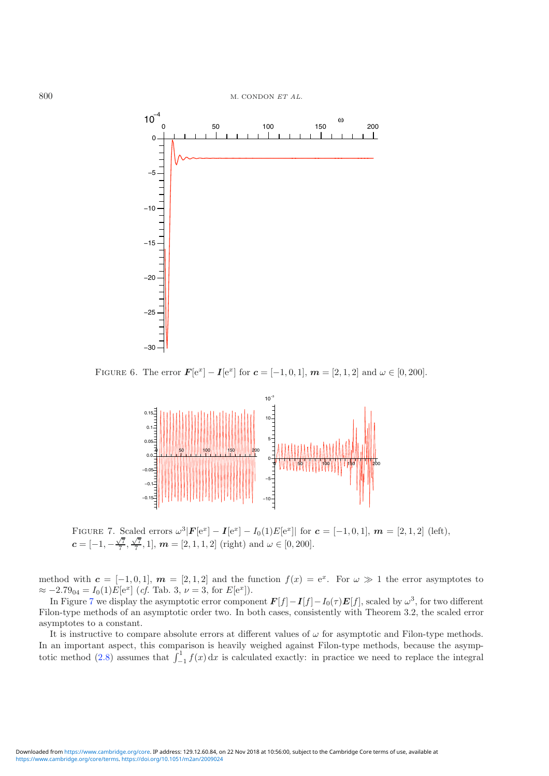

<span id="page-16-0"></span>FIGURE 6. The error  $F[e^x] - I[e^x]$  for  $c = [-1, 0, 1]$ ,  $m = [2, 1, 2]$  and  $\omega \in [0, 200]$ .



FIGURE 7. Scaled errors  $\omega^3 |F[e^x] - I[e^x] - I_0(1)E[e^x] |$  for  $\mathbf{c} = [-1, 0, 1], \mathbf{m} = [2, 1, 2]$  (left),  $c = [-1, -\frac{\sqrt{7}}{7}, \frac{\sqrt{7}}{7}, 1], \, \boldsymbol{m} = [2, 1, 1, 2] \,$  (right) and  $\omega \in [0, 200]$ .

method with  $c = [-1, 0, 1], m = [2, 1, 2]$  and the function  $f(x) = e^x$ . For  $\omega \gg 1$  the error asymptotes to  $\approx -2.79_{04} = I_0(1)E[e^x]$  (*cf.* Tab. 3,  $\nu = 3$ , for  $E[e^x]$ ).

In Figure [7](#page-15-1) we display the asymptotic error component  $F[f]-I[f]-I_0(\tau)E[f]$ , scaled by  $\omega^3$ , for two different Filon-type methods of an asymptotic order two. In both cases, consistently with Theorem 3.2, the scaled error asymptotes to a constant.

It is instructive to compare absolute errors at different values of  $\omega$  for asymptotic and Filon-type methods. In an important aspect, this comparison is heavily weighed against Filon-type methods, because the asymp-totic method [\(2.8\)](#page-9-1) assumes that  $\int_{-1}^{1} f(x) dx$  is calculated exactly: in practice we need to replace the integral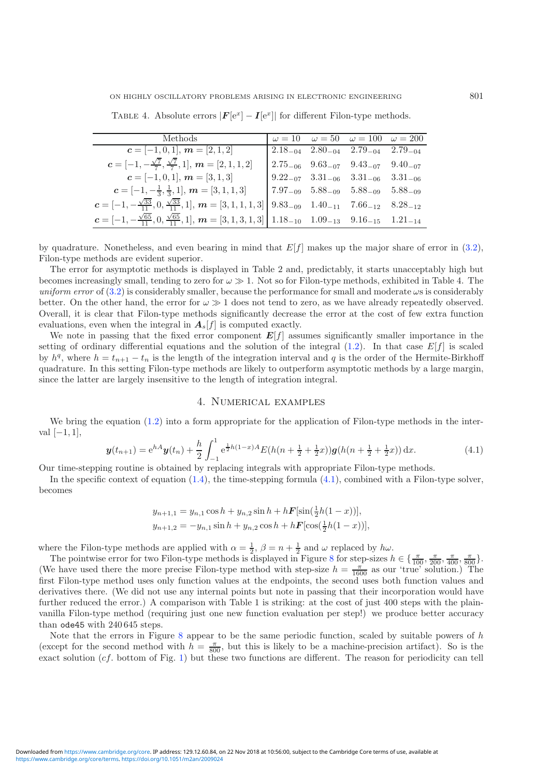ON HIGHLY OSCILLATORY PROBLEMS ARISING IN ELECTRONIC ENGINEERING 801

| Methods                                                                                                                                                                                         |  | $\omega = 10$ $\omega = 50$ $\omega = 100$ $\omega = 200$                               |  |
|-------------------------------------------------------------------------------------------------------------------------------------------------------------------------------------------------|--|-----------------------------------------------------------------------------------------|--|
| $c = [-1, 0, 1], m = [2, 1, 2]$                                                                                                                                                                 |  | $\begin{bmatrix} 2.18_{-04} & 2.80_{-04} & 2.79_{-04} & 2.79_{-04} \end{bmatrix}$       |  |
| $c = [-1, -\frac{\sqrt{7}}{7}, \frac{\sqrt{7}}{7}, 1], m = [2, 1, 1, 2]$                                                                                                                        |  | $\begin{bmatrix} 2.75_{-06} & 9.63_{-07} & 9.43_{-07} & 9.40_{-07} \end{bmatrix}$       |  |
| $c = [-1, 0, 1], m = [3, 1, 3]$                                                                                                                                                                 |  | $9.22_{-07}$ $3.31_{-06}$ $3.31_{-06}$ $3.31_{-06}$                                     |  |
| $c = [-1, -\frac{1}{3}, \frac{1}{3}, 1], m = [3, 1, 1, 3]$                                                                                                                                      |  | $\begin{array}{ c c } \hline 7.97_{-09} & 5.88_{-09} & 5.88_{-09} \\\hline \end{array}$ |  |
| $\boldsymbol{c} = [-1, -\frac{\sqrt{33}}{11}, 0, \frac{\sqrt{33}}{11}, 1], \, \boldsymbol{m} = [3, 1, 1, 1, 3] \begin{bmatrix} 9.83_{-09} & 1.40_{-11} & 7.66_{-12} & 8.28_{-12} \end{bmatrix}$ |  |                                                                                         |  |
| $c = [-1, -\frac{\sqrt{65}}{11}, 0, \frac{\sqrt{65}}{11}, 1], m = [3, 1, 3, 1, 3]   1.18_{-10} 1.09_{-13} 9.16_{-15} 1.21_{-14}$                                                                |  |                                                                                         |  |

TABLE 4. Absolute errors  $|\mathbf{F}[\mathbf{e}^x] - \mathbf{I}[\mathbf{e}^x]|$  for different Filon-type methods.

by quadrature. Nonetheless, and even bearing in mind that  $E[f]$  makes up the major share of error in [\(3.2\)](#page-10-2), Filon-type methods are evident superior.

The error for asymptotic methods is displayed in Table 2 and, predictably, it starts unacceptably high but becomes increasingly small, tending to zero for  $\omega \gg 1$ . Not so for Filon-type methods, exhibited in Table 4. The uniform error of  $(3.2)$  is considerably smaller, because the performance for small and moderate  $\omega s$  is considerably better. On the other hand, the error for  $\omega \gg 1$  does not tend to zero, as we have already repeatedly observed. Overall, it is clear that Filon-type methods significantly decrease the error at the cost of few extra function evaluations, even when the integral in  $A_s[f]$  is computed exactly.

We note in passing that the fixed error component  $E[f]$  assumes significantly smaller importance in the setting of ordinary differential equations and the solution of the integral  $(1.2)$ . In that case  $E[f]$  is scaled by  $h^q$ , where  $h = t_{n+1} - t_n$  is the length of the integration interval and q is the order of the Hermite-Birkhoff quadrature. In this setting Filon-type methods are likely to outperform asymptotic methods by a large margin, since the latter are largely insensitive to the length of integration integral.

#### 4. Numerical examples

We bring the equation [\(1.2\)](#page-1-0) into a form appropriate for the application of Filon-type methods in the interval  $[-1, 1]$ ,

$$
\mathbf{y}(t_{n+1}) = e^{hA}\mathbf{y}(t_n) + \frac{h}{2} \int_{-1}^{1} e^{\frac{1}{2}h(1-x)A} E(h(n+\frac{1}{2}+\frac{1}{2}x))\mathbf{g}(h(n+\frac{1}{2}+\frac{1}{2}x)) \, \mathrm{d}x. \tag{4.1}
$$

Our time-stepping routine is obtained by replacing integrals with appropriate Filon-type methods.

In the specific context of equation [\(1.4\)](#page-2-0), the time-stepping formula [\(4.1\)](#page-16-0), combined with a Filon-type solver, becomes

<span id="page-17-0"></span>
$$
y_{n+1,1} = y_{n,1} \cos h + y_{n,2} \sin h + h \mathbf{F}[\sin(\frac{1}{2}h(1-x))],
$$
  
\n
$$
y_{n+1,2} = -y_{n,1} \sin h + y_{n,2} \cos h + h \mathbf{F}[\cos(\frac{1}{2}h(1-x))],
$$

where the Filon-type methods are applied with  $\alpha = \frac{1}{2}$ ,  $\beta = n + \frac{1}{2}$  and  $\omega$  replaced by  $h\omega$ .

The pointwise error for two Filon-type methods is displayed in Figure [8](#page-17-0) for step-sizes  $h \in \{\frac{\pi}{100}, \frac{\pi}{200}, \frac{\pi}{400}, \frac{\pi}{800}\}.$ (We have used there the more precise Filon-type method with step-size  $h = \frac{\pi}{1600}$  as our 'true' solution.) The first Filon-type method uses only function values at the endpoints, the second uses both function values and derivatives there. (We did not use any internal points but note in passing that their incorporation would have further reduced the error.) A comparison with Table 1 is striking: at the cost of just 400 steps with the plainvanilla Filon-type method (requiring just one new function evaluation per step!) we produce better accuracy than ode45 with 240 645 steps.

Note that the errors in Figure  $8$  appear to be the same periodic function, scaled by suitable powers of  $h$ (except for the second method with  $h = \frac{\pi}{800}$ , but this is likely to be a machine-precision artifact). So is the exact solution (cf. bottom of Fig. [1\)](#page-2-1) but these two functions are different. The reason for periodicity can tell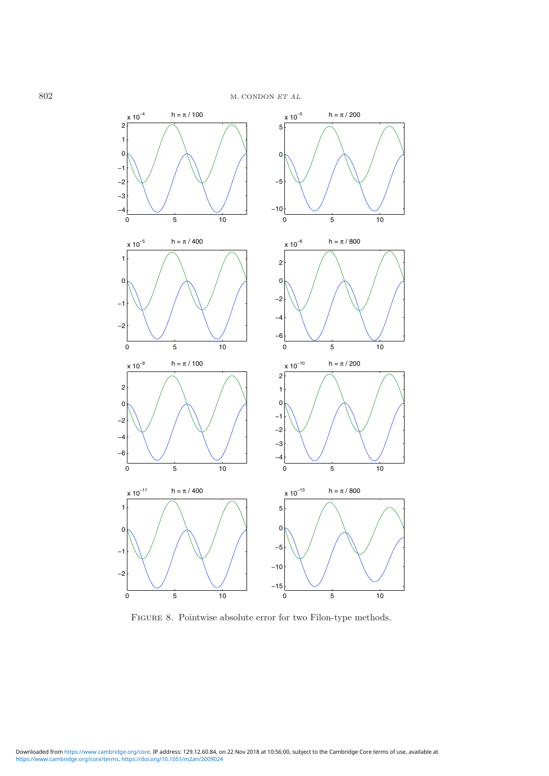<span id="page-18-4"></span>

<span id="page-18-5"></span><span id="page-18-3"></span><span id="page-18-2"></span><span id="page-18-1"></span><span id="page-18-0"></span>FIGURE 8. Pointwise absolute error for two Filon-type methods.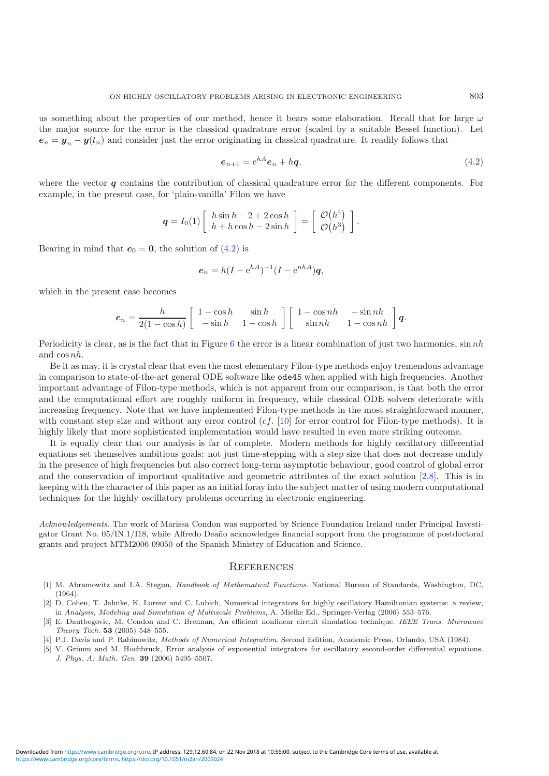<span id="page-19-14"></span><span id="page-19-5"></span><span id="page-19-1"></span>us something about the properties of our method, hence it bears some elaboration. Recall that for large  $\omega$ the major source for the error is the classical quadrature error (scaled by a suitable Bessel function). Let  $e_n = y_n - y(t_n)$  and consider just the error originating in classical quadrature. It readily follows that

$$
e_{n+1} = e^{hA}e_n + hq,\tag{4.2}
$$

<span id="page-19-11"></span><span id="page-19-10"></span><span id="page-19-7"></span>where the vector  $q$  contains the contribution of classical quadrature error for the different components. For example, in the present case, for 'plain-vanilla' Filon we have

$$
\boldsymbol{q} = I_0(1) \left[ \begin{array}{c} h \sin h - 2 + 2 \cos h \\ h + h \cos h - 2 \sin h \end{array} \right] = \left[ \begin{array}{c} \mathcal{O}(h^4) \\ \mathcal{O}(h^3) \end{array} \right].
$$

<span id="page-19-13"></span><span id="page-19-12"></span><span id="page-19-9"></span><span id="page-19-0"></span>Bearing in mind that  $e_0 = 0$ , the solution of [\(4.2\)](#page-18-4) is

$$
\mathbf{e}_n = h(I - e^{hA})^{-1}(I - e^{nhA})\mathbf{q},
$$

<span id="page-19-8"></span><span id="page-19-4"></span><span id="page-19-3"></span>which in the present case becomes

$$
e_n = \frac{h}{2(1 - \cos h)} \left[ \begin{array}{cc} 1 - \cos h & \sin h \\ -\sin h & 1 - \cos h \end{array} \right] \left[ \begin{array}{cc} 1 - \cos nh & -\sin nh \\ \sin nh & 1 - \cos nh \end{array} \right] q.
$$

<span id="page-19-6"></span><span id="page-19-2"></span>Periodicity is clear, as is the fact that in Figure [6](#page-15-0) the error is a linear combination of just two harmonics,  $\sin nh$ and cos nh.

Be it as may, it is crystal clear that even the most elementary Filon-type methods enjoy tremendous advantage in comparison to state-of-the-art general ODE software like ode45 when applied with high frequencies. Another important advantage of Filon-type methods, which is not apparent from our comparison, is that both the error and the computational effort are roughly uniform in frequency, while classical ODE solvers deteriorate with increasing frequency. Note that we have implemented Filon-type methods in the most straightforward manner, with constant step size and without any error control  $(cf. [10]$  $(cf. [10]$  $(cf. [10]$  for error control for Filon-type methods). It is highly likely that more sophisticated implementation would have resulted in even more striking outcome.

It is equally clear that our analysis is far of complete. Modern methods for highly oscillatory differential equations set themselves ambitious goals: not just time-stepping with a step size that does not decrease unduly in the presence of high frequencies but also correct long-term asymptotic behaviour, good control of global error and the conservation of important qualitative and geometric attributes of the exact solution [\[2](#page-18-5)[,8](#page-19-14)]. This is in keeping with the character of this paper as an initial foray into the subject matter of using modern computational techniques for the highly oscillatory problems occurring in electronic engineering.

Acknowledgements. The work of Marissa Condon was supported by Science Foundation Ireland under Principal Investigator Grant No. 05/IN.1/I18, while Alfredo Deaño acknowledges financial support from the programme of postdoctoral grants and project MTM2006-09050 of the Spanish Ministry of Education and Science.

#### **REFERENCES**

- [1] M. Abramowitz and I.A. Stegun, *Handbook of Mathematical Functions*. National Bureau of Standards, Washington, DC, (1964).
- [2] D. Cohen, T. Jahnke, K. Lorenz and C. Lubich, Numerical integrators for highly oscillatory Hamiltonian systems: a review, in *Analysis, Modeling and Simulation of Multiscale Problems*, A. Mielke Ed., Springer-Verlag (2006) 553–576.
- [3] E. Dautbegovic, M. Condon and C. Brennan, An efficient nonlinear circuit simulation technique. *IEEE Trans. Microwave Theory Tech.* 53 (2005) 548–555.
- [4] P.J. Davis and P. Rabinowitz, *Methods of Numerical Integration*. Second Edition, Academic Press, Orlando, USA (1984).
- [5] V. Grimm and M. Hochbruck, Error analysis of exponential integrators for oscillatory second-order differential equations. *J. Phys. A: Math. Gen.* 39 (2006) 5495–5507.